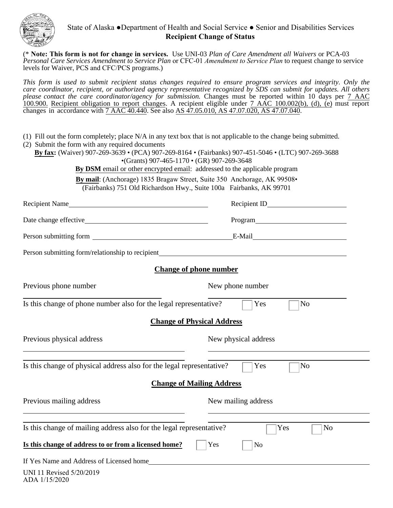

## State of Alaska ●Department of Health and Social Service ● Senior and Disabilities Services **Recipient Change of Status**

 (\* **Note: This form is not for change in services.** Use UNI-03 *Plan of Care Amendment all Waivers* or PCA-03 *Personal Care Services Amendment to Service Plan* or CFC-01 *Amendment to Service Plan* to request change to service levels for Waiver, PCS and CFC/PCS programs.)

*This form is used to submit recipient status changes required to ensure program services and integrity. Only the care coordinator, recipient, or authorized agency representative recognized by SDS can submit for updates. All others please contact the care coordinator/agency for submission.* Changes must be reported within 10 days per 7 AAC 100.900. Recipient obligation to report changes. A recipient eligible under 7 AAC 100.002(b), (d), (e) must report changes in accordance with 7 AAC 40.440. See also AS 47.05.010, AS 47.07.020, AS 47.07.040.

- (1) Fill out the form completely; place N/A in any text box that is not applicable to the change being submitted.
- (2) Submit the form with any required documents

**By fax:** (Waiver) 907-269-3639 • (PCA) 907-269-8164 • (Fairbanks) 907-451-5046 • (LTC) 907-269-3688 •(Grants) 907-465-1170 • (GR) 907-269-3648 **By DSM** email or other encrypted email: addressed to the applicable program

> **By mail**: (Anchorage) 1835 Bragaw Street, Suite 350 Anchorage, AK 99508• (Fairbanks) 751 Old Richardson Hwy., Suite 100a Fairbanks, AK 99701

| Recipient Name                                                        |                       |
|-----------------------------------------------------------------------|-----------------------|
|                                                                       | Program               |
|                                                                       |                       |
| Person submitting form/relationship to recipient_                     |                       |
| <b>Change of phone number</b>                                         |                       |
| Previous phone number                                                 | New phone number      |
| Is this change of phone number also for the legal representative?     | Yes<br>N <sub>o</sub> |
| <b>Change of Physical Address</b>                                     |                       |
| Previous physical address                                             | New physical address  |
| Is this change of physical address also for the legal representative? | Yes<br>No             |
| <b>Change of Mailing Address</b>                                      |                       |
| Previous mailing address                                              | New mailing address   |
| Is this change of mailing address also for the legal representative?  | Yes<br>N <sub>0</sub> |
| Is this change of address to or from a licensed home?                 | Yes<br>No             |
| If Yes Name and Address of Licensed home                              |                       |

UNI 11 Revised 5/20/2019 ADA 1/15/2020